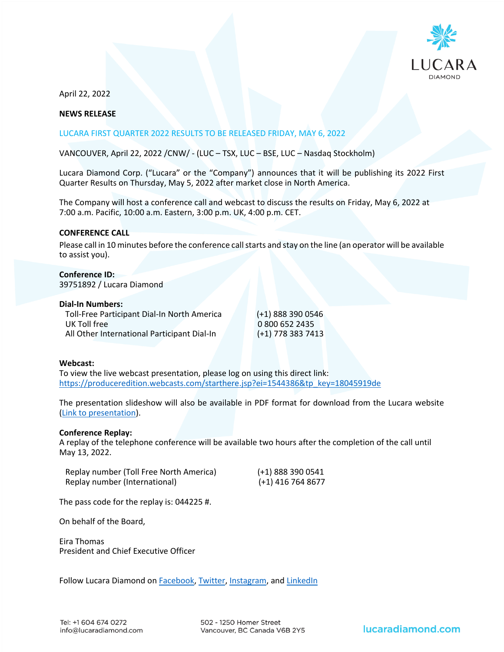

April 22, 2022

# **NEWS RELEASE**

## LUCARA FIRST QUARTER 2022 RESULTS TO BE RELEASED FRIDAY, MAY 6, 2022

VANCOUVER, April 22, 2022 /CNW/ - (LUC – TSX, LUC – BSE, LUC – Nasdaq Stockholm)

Lucara Diamond Corp. ("Lucara" or the "Company") announces that it will be publishing its 2022 First Quarter Results on Thursday, May 5, 2022 after market close in North America.

The Company will host a conference call and webcast to discuss the results on Friday, May 6, 2022 at 7:00 a.m. Pacific, 10:00 a.m. Eastern, 3:00 p.m. UK, 4:00 p.m. CET.

## **CONFERENCE CALL**

Please call in 10 minutes before the conference call starts and stay on the line (an operator will be available to assist you).

**Conference ID:**  39751892 / Lucara Diamond

**Dial-In Numbers:** Toll-Free Participant Dial-In North America (+1) 888 390 0546 UK Toll free 0 800 652 2435<br>All Other International Participant Dial-In (+1) 778 383 7413 All Other International Participant Dial-In

#### **Webcast:**

To view the live webcast presentation, please log on using this direct link: [https://produceredition.webcasts.com/starthere.jsp?ei=1544386&tp\\_key=18045919de](https://produceredition.webcasts.com/starthere.jsp?ei=1544386&tp_key=18045919de)

The presentation slideshow will also be available in PDF format for download from the Lucara website [\(Link to presentation\)](https://lucaradiamond.com/newsroom/presentations/).

#### **Conference Replay:**

A replay of the telephone conference will be available two hours after the completion of the call until May 13, 2022.

| Replay number (Toll Free North America) | (+1) 888 390 0541 |
|-----------------------------------------|-------------------|
| Replay number (International)           | (+1) 416 764 8677 |

The pass code for the replay is: 044225 #.

On behalf of the Board,

Eira Thomas President and Chief Executive Officer

Follow Lucara Diamond on [Facebook,](https://www.facebook.com/LucaraDiamond/) [Twitter,](https://twitter.com/LucaraDiamond) [Instagram,](https://www.instagram.com/lucaradiamond/) and [LinkedIn](https://www.linkedin.com/company/lucara-diamond-corp-)